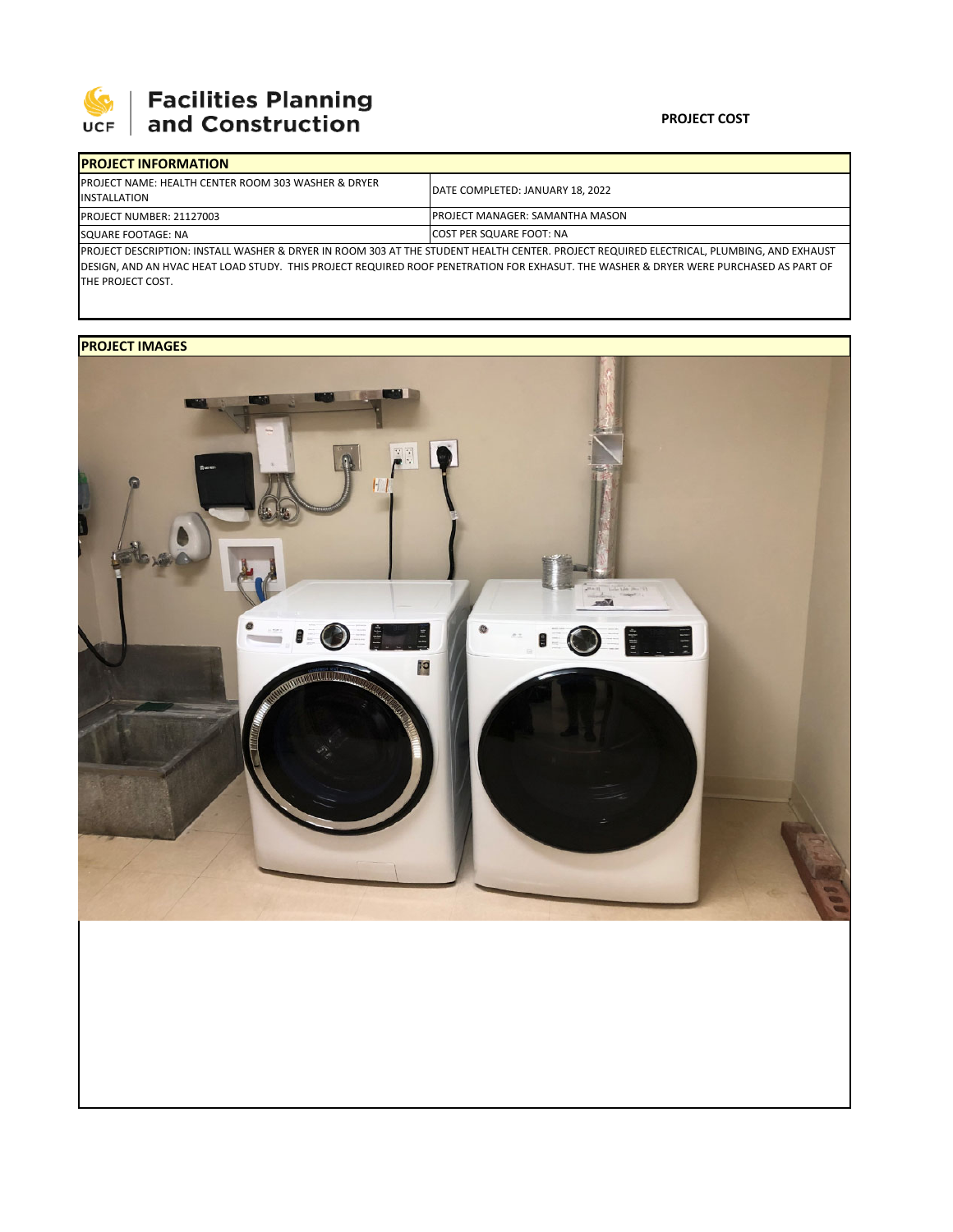

| <b>IPROJECT INFORMATION</b>                                                                                                               |                                        |  |  |  |
|-------------------------------------------------------------------------------------------------------------------------------------------|----------------------------------------|--|--|--|
| <b>IPROJECT NAME: HEALTH CENTER ROOM 303 WASHER &amp; DRYER</b><br><b>IINSTALLATION</b>                                                   | DATE COMPLETED: JANUARY 18, 2022       |  |  |  |
| <b>PROJECT NUMBER: 21127003</b>                                                                                                           | <b>PROJECT MANAGER: SAMANTHA MASON</b> |  |  |  |
| SQUARE FOOTAGE: NA                                                                                                                        | <b>ICOST PER SQUARE FOOT: NA</b>       |  |  |  |
| IPROJECT DESCRIPTION: INSTALL WASHER & DRYER IN ROOM 303 AT THE STUDENT HEALTH CENTER. PROJECT REOUIRED ELECTRICAL. PLUMBING. AND EXHAUST |                                        |  |  |  |

PROJECT DESCRIPTION: INSTALL WASHER & DRYER IN ROOM 303 AT THE STUDENT HEALTH CENTER. PROJECT REQUIRED ELECTRICAL, PLUMBING, AND EXHAUST DESIGN, AND AN HVAC HEAT LOAD STUDY. THIS PROJECT REQUIRED ROOF PENETRATION FOR EXHASUT. THE WASHER & DRYER WERE PURCHASED AS PART OF THE PROJECT COST.

## **PROJECT IMAGES**